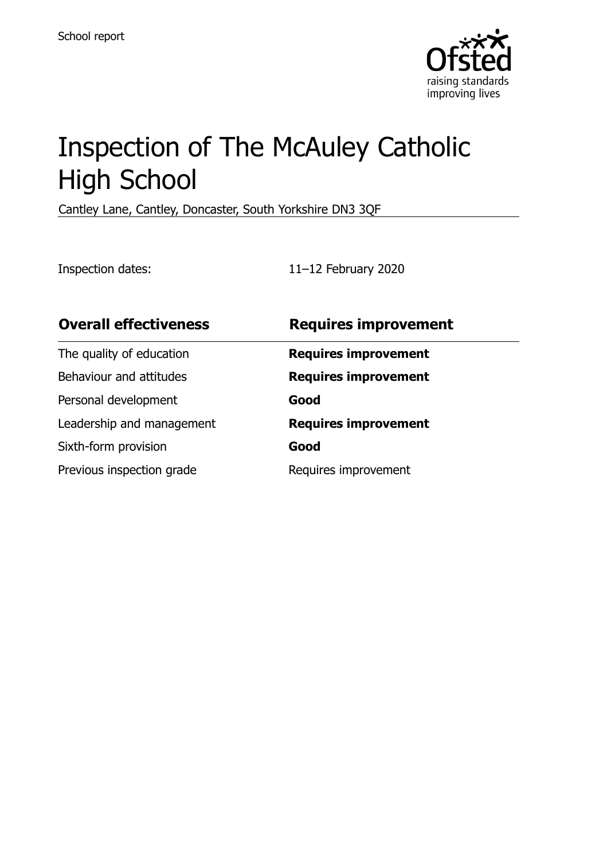

# Inspection of The McAuley Catholic High School

Cantley Lane, Cantley, Doncaster, South Yorkshire DN3 3QF

Inspection dates: 11–12 February 2020

| <b>Overall effectiveness</b> | <b>Requires improvement</b> |
|------------------------------|-----------------------------|
| The quality of education     | <b>Requires improvement</b> |
| Behaviour and attitudes      | <b>Requires improvement</b> |
| Personal development         | Good                        |
| Leadership and management    | <b>Requires improvement</b> |
| Sixth-form provision         | Good                        |
| Previous inspection grade    | Requires improvement        |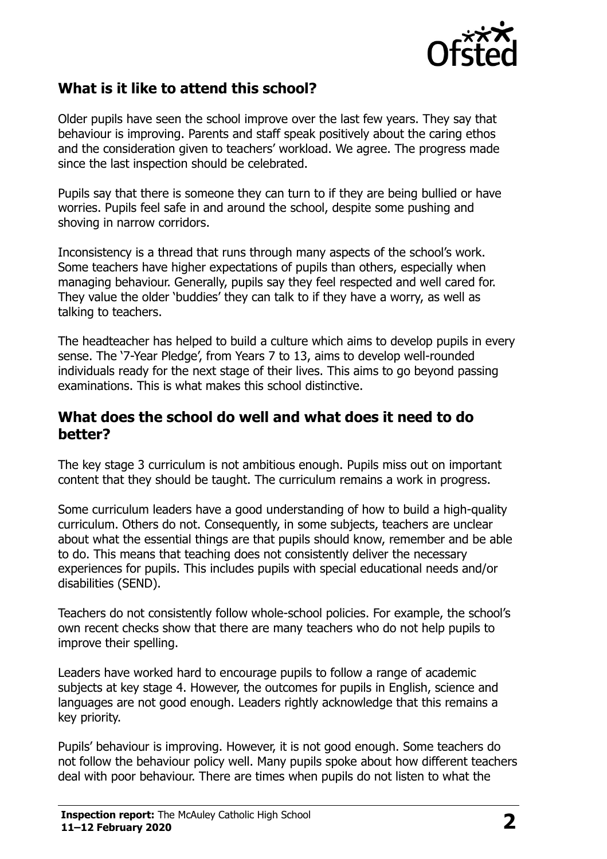

# **What is it like to attend this school?**

Older pupils have seen the school improve over the last few years. They say that behaviour is improving. Parents and staff speak positively about the caring ethos and the consideration given to teachers' workload. We agree. The progress made since the last inspection should be celebrated.

Pupils say that there is someone they can turn to if they are being bullied or have worries. Pupils feel safe in and around the school, despite some pushing and shoving in narrow corridors.

Inconsistency is a thread that runs through many aspects of the school's work. Some teachers have higher expectations of pupils than others, especially when managing behaviour. Generally, pupils say they feel respected and well cared for. They value the older 'buddies' they can talk to if they have a worry, as well as talking to teachers.

The headteacher has helped to build a culture which aims to develop pupils in every sense. The '7-Year Pledge', from Years 7 to 13, aims to develop well-rounded individuals ready for the next stage of their lives. This aims to go beyond passing examinations. This is what makes this school distinctive.

#### **What does the school do well and what does it need to do better?**

The key stage 3 curriculum is not ambitious enough. Pupils miss out on important content that they should be taught. The curriculum remains a work in progress.

Some curriculum leaders have a good understanding of how to build a high-quality curriculum. Others do not. Consequently, in some subjects, teachers are unclear about what the essential things are that pupils should know, remember and be able to do. This means that teaching does not consistently deliver the necessary experiences for pupils. This includes pupils with special educational needs and/or disabilities (SEND).

Teachers do not consistently follow whole-school policies. For example, the school's own recent checks show that there are many teachers who do not help pupils to improve their spelling.

Leaders have worked hard to encourage pupils to follow a range of academic subjects at key stage 4. However, the outcomes for pupils in English, science and languages are not good enough. Leaders rightly acknowledge that this remains a key priority.

Pupils' behaviour is improving. However, it is not good enough. Some teachers do not follow the behaviour policy well. Many pupils spoke about how different teachers deal with poor behaviour. There are times when pupils do not listen to what the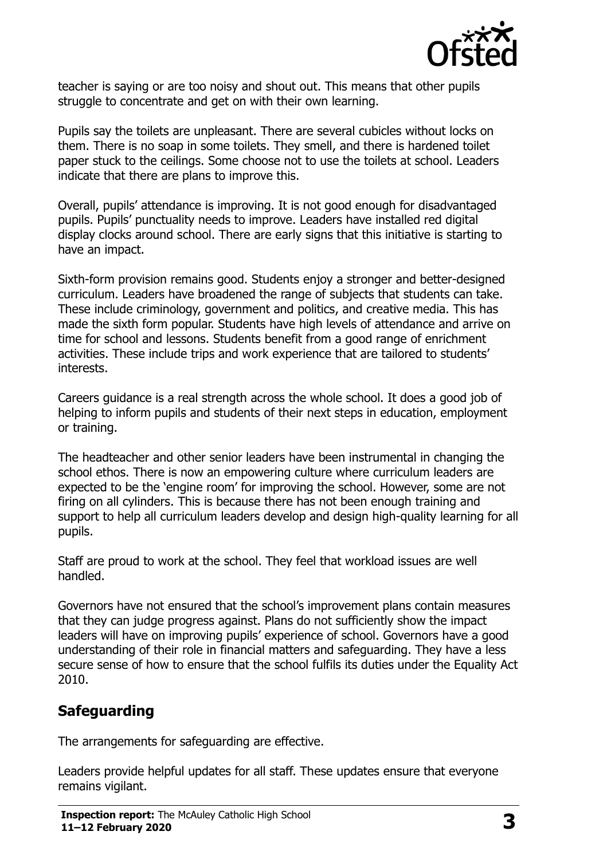

teacher is saying or are too noisy and shout out. This means that other pupils struggle to concentrate and get on with their own learning.

Pupils say the toilets are unpleasant. There are several cubicles without locks on them. There is no soap in some toilets. They smell, and there is hardened toilet paper stuck to the ceilings. Some choose not to use the toilets at school. Leaders indicate that there are plans to improve this.

Overall, pupils' attendance is improving. It is not good enough for disadvantaged pupils. Pupils' punctuality needs to improve. Leaders have installed red digital display clocks around school. There are early signs that this initiative is starting to have an impact.

Sixth-form provision remains good. Students enjoy a stronger and better-designed curriculum. Leaders have broadened the range of subjects that students can take. These include criminology, government and politics, and creative media. This has made the sixth form popular. Students have high levels of attendance and arrive on time for school and lessons. Students benefit from a good range of enrichment activities. These include trips and work experience that are tailored to students' interests.

Careers guidance is a real strength across the whole school. It does a good job of helping to inform pupils and students of their next steps in education, employment or training.

The headteacher and other senior leaders have been instrumental in changing the school ethos. There is now an empowering culture where curriculum leaders are expected to be the 'engine room' for improving the school. However, some are not firing on all cylinders. This is because there has not been enough training and support to help all curriculum leaders develop and design high-quality learning for all pupils.

Staff are proud to work at the school. They feel that workload issues are well handled.

Governors have not ensured that the school's improvement plans contain measures that they can judge progress against. Plans do not sufficiently show the impact leaders will have on improving pupils' experience of school. Governors have a good understanding of their role in financial matters and safeguarding. They have a less secure sense of how to ensure that the school fulfils its duties under the Equality Act 2010.

# **Safeguarding**

The arrangements for safeguarding are effective.

Leaders provide helpful updates for all staff. These updates ensure that everyone remains vigilant.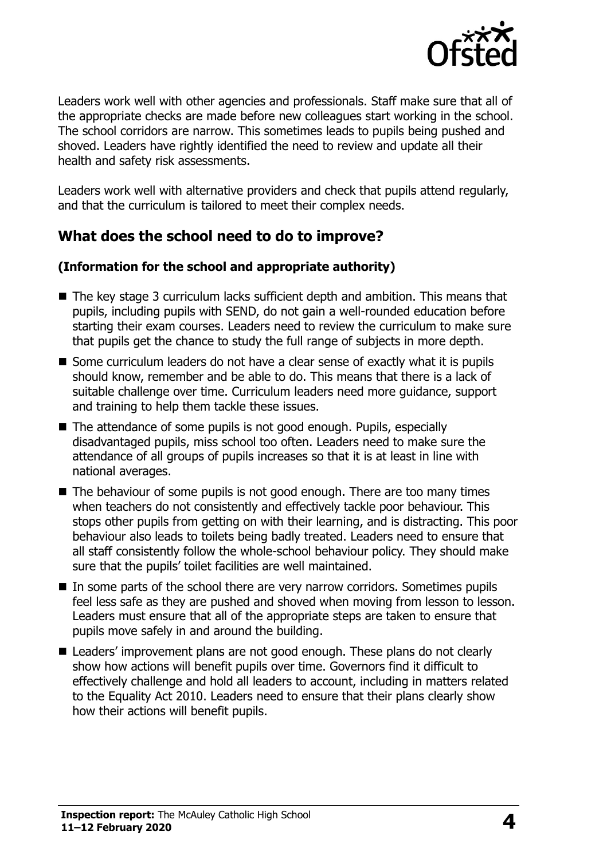

Leaders work well with other agencies and professionals. Staff make sure that all of the appropriate checks are made before new colleagues start working in the school. The school corridors are narrow. This sometimes leads to pupils being pushed and shoved. Leaders have rightly identified the need to review and update all their health and safety risk assessments.

Leaders work well with alternative providers and check that pupils attend regularly, and that the curriculum is tailored to meet their complex needs.

# **What does the school need to do to improve?**

#### **(Information for the school and appropriate authority)**

- The key stage 3 curriculum lacks sufficient depth and ambition. This means that pupils, including pupils with SEND, do not gain a well-rounded education before starting their exam courses. Leaders need to review the curriculum to make sure that pupils get the chance to study the full range of subjects in more depth.
- Some curriculum leaders do not have a clear sense of exactly what it is pupils should know, remember and be able to do. This means that there is a lack of suitable challenge over time. Curriculum leaders need more guidance, support and training to help them tackle these issues.
- The attendance of some pupils is not good enough. Pupils, especially disadvantaged pupils, miss school too often. Leaders need to make sure the attendance of all groups of pupils increases so that it is at least in line with national averages.
- $\blacksquare$  The behaviour of some pupils is not good enough. There are too many times when teachers do not consistently and effectively tackle poor behaviour. This stops other pupils from getting on with their learning, and is distracting. This poor behaviour also leads to toilets being badly treated. Leaders need to ensure that all staff consistently follow the whole-school behaviour policy. They should make sure that the pupils' toilet facilities are well maintained.
- In some parts of the school there are very narrow corridors. Sometimes pupils feel less safe as they are pushed and shoved when moving from lesson to lesson. Leaders must ensure that all of the appropriate steps are taken to ensure that pupils move safely in and around the building.
- Leaders' improvement plans are not good enough. These plans do not clearly show how actions will benefit pupils over time. Governors find it difficult to effectively challenge and hold all leaders to account, including in matters related to the Equality Act 2010. Leaders need to ensure that their plans clearly show how their actions will benefit pupils.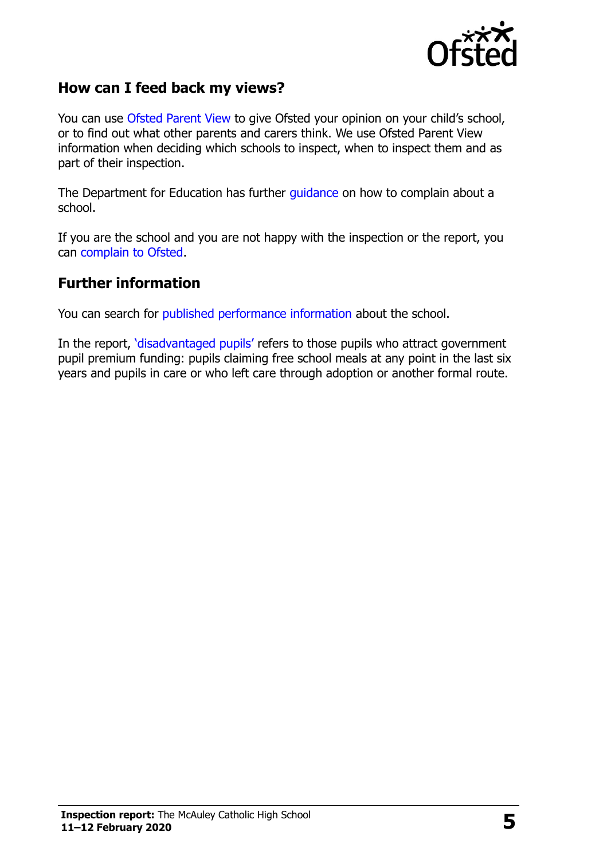

#### **How can I feed back my views?**

You can use [Ofsted Parent View](http://parentview.ofsted.gov.uk/) to give Ofsted your opinion on your child's school, or to find out what other parents and carers think. We use Ofsted Parent View information when deciding which schools to inspect, when to inspect them and as part of their inspection.

The Department for Education has further [guidance](http://www.gov.uk/complain-about-school) on how to complain about a school.

If you are the school and you are not happy with the inspection or the report, you can [complain to Ofsted.](http://www.gov.uk/complain-ofsted-report)

#### **Further information**

You can search for [published performance information](http://www.compare-school-performance.service.gov.uk/) about the school.

In the report, '[disadvantaged pupils](http://www.gov.uk/guidance/pupil-premium-information-for-schools-and-alternative-provision-settings)' refers to those pupils who attract government pupil premium funding: pupils claiming free school meals at any point in the last six years and pupils in care or who left care through adoption or another formal route.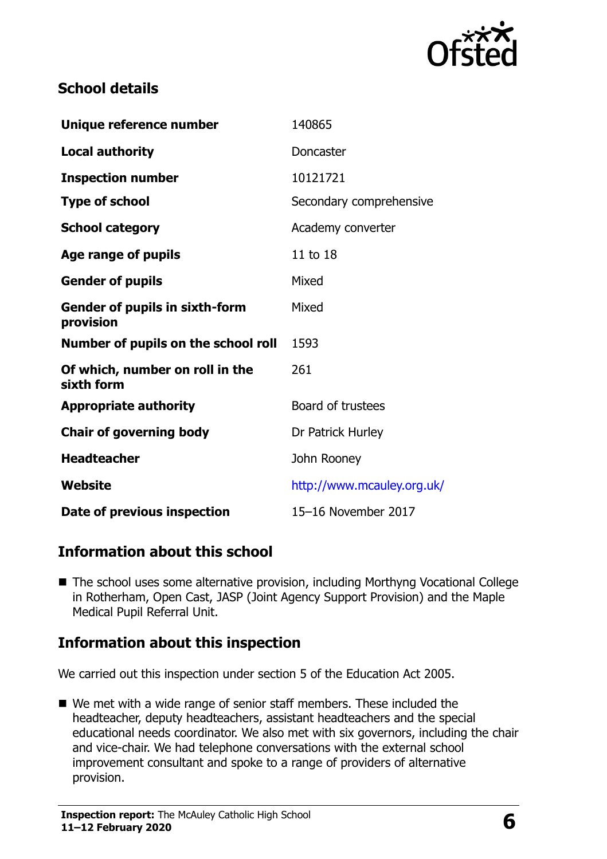

# **School details**

| Unique reference number                            | 140865                     |
|----------------------------------------------------|----------------------------|
| <b>Local authority</b>                             | Doncaster                  |
| <b>Inspection number</b>                           | 10121721                   |
| <b>Type of school</b>                              | Secondary comprehensive    |
| <b>School category</b>                             | Academy converter          |
| Age range of pupils                                | 11 to 18                   |
| <b>Gender of pupils</b>                            | Mixed                      |
| <b>Gender of pupils in sixth-form</b><br>provision | Mixed                      |
| Number of pupils on the school roll                | 1593                       |
| Of which, number on roll in the<br>sixth form      | 261                        |
| <b>Appropriate authority</b>                       | Board of trustees          |
| <b>Chair of governing body</b>                     | Dr Patrick Hurley          |
| <b>Headteacher</b>                                 | John Rooney                |
| <b>Website</b>                                     | http://www.mcauley.org.uk/ |
| Date of previous inspection                        | 15-16 November 2017        |

## **Information about this school**

■ The school uses some alternative provision, including Morthyng Vocational College in Rotherham, Open Cast, JASP (Joint Agency Support Provision) and the Maple Medical Pupil Referral Unit.

## **Information about this inspection**

We carried out this inspection under section 5 of the Education Act 2005.

■ We met with a wide range of senior staff members. These included the headteacher, deputy headteachers, assistant headteachers and the special educational needs coordinator. We also met with six governors, including the chair and vice-chair. We had telephone conversations with the external school improvement consultant and spoke to a range of providers of alternative provision.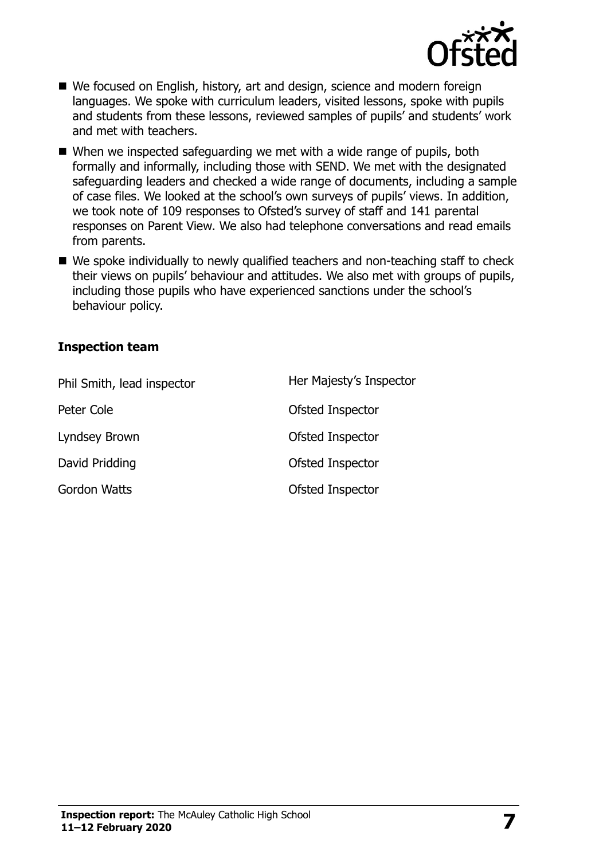

- We focused on English, history, art and design, science and modern foreign languages. We spoke with curriculum leaders, visited lessons, spoke with pupils and students from these lessons, reviewed samples of pupils' and students' work and met with teachers.
- When we inspected safeguarding we met with a wide range of pupils, both formally and informally, including those with SEND. We met with the designated safeguarding leaders and checked a wide range of documents, including a sample of case files. We looked at the school's own surveys of pupils' views. In addition, we took note of 109 responses to Ofsted's survey of staff and 141 parental responses on Parent View. We also had telephone conversations and read emails from parents.
- We spoke individually to newly qualified teachers and non-teaching staff to check their views on pupils' behaviour and attitudes. We also met with groups of pupils, including those pupils who have experienced sanctions under the school's behaviour policy.

#### **Inspection team**

| Phil Smith, lead inspector | Her Majesty's Inspector |
|----------------------------|-------------------------|
| Peter Cole                 | Ofsted Inspector        |
| Lyndsey Brown              | Ofsted Inspector        |
| David Pridding             | Ofsted Inspector        |
| <b>Gordon Watts</b>        | Ofsted Inspector        |